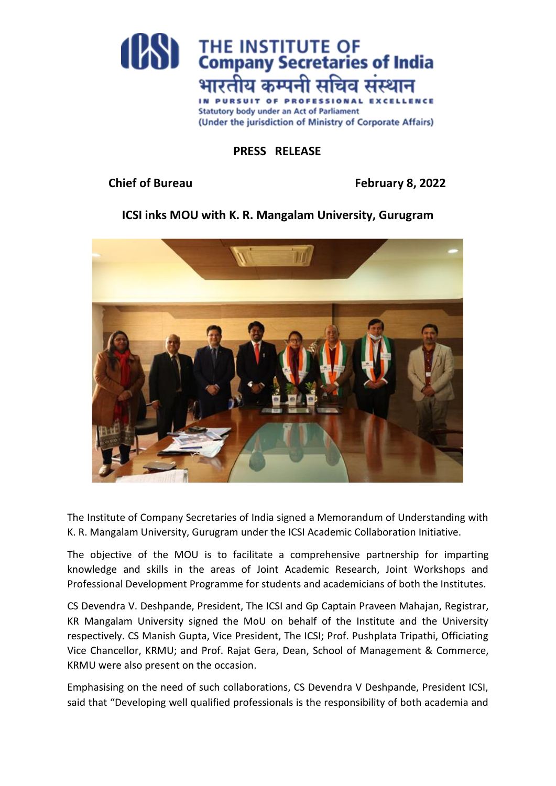

## **PRESS RELEASE**

**Chief of Bureau February 8, 2022**

## **ICSI inks MOU with K. R. Mangalam University, Gurugram**



The Institute of Company Secretaries of India signed a Memorandum of Understanding with K. R. Mangalam University, Gurugram under the ICSI Academic Collaboration Initiative.

The objective of the MOU is to facilitate a comprehensive partnership for imparting knowledge and skills in the areas of Joint Academic Research, Joint Workshops and Professional Development Programme for students and academicians of both the Institutes.

CS Devendra V. Deshpande, President, The ICSI and Gp Captain Praveen Mahajan, Registrar, KR Mangalam University signed the MoU on behalf of the Institute and the University respectively. CS Manish Gupta, Vice President, The ICSI; Prof. Pushplata Tripathi, Officiating Vice Chancellor, KRMU; and Prof. Rajat Gera, Dean, School of Management & Commerce, KRMU were also present on the occasion.

Emphasising on the need of such collaborations, CS Devendra V Deshpande, President ICSI, said that "Developing well qualified professionals is the responsibility of both academia and